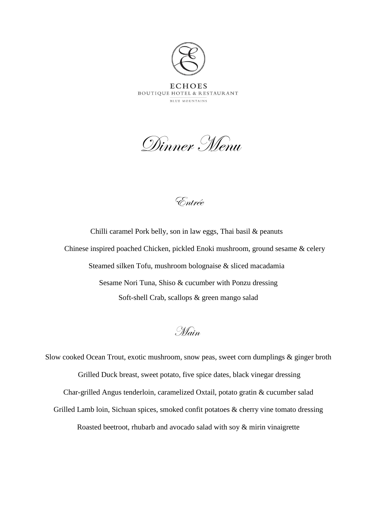

Dinner Menu

Entrée

Chilli caramel Pork belly, son in law eggs, Thai basil & peanuts Chinese inspired poached Chicken, pickled Enoki mushroom, ground sesame & celery Steamed silken Tofu, mushroom bolognaise & sliced macadamia Sesame Nori Tuna, Shiso & cucumber with Ponzu dressing Soft-shell Crab, scallops & green mango salad

Main

Slow cooked Ocean Trout, exotic mushroom, snow peas, sweet corn dumplings & ginger broth Grilled Duck breast, sweet potato, five spice dates, black vinegar dressing Char-grilled Angus tenderloin, caramelized Oxtail, potato gratin & cucumber salad Grilled Lamb loin, Sichuan spices, smoked confit potatoes & cherry vine tomato dressing Roasted beetroot, rhubarb and avocado salad with soy & mirin vinaigrette